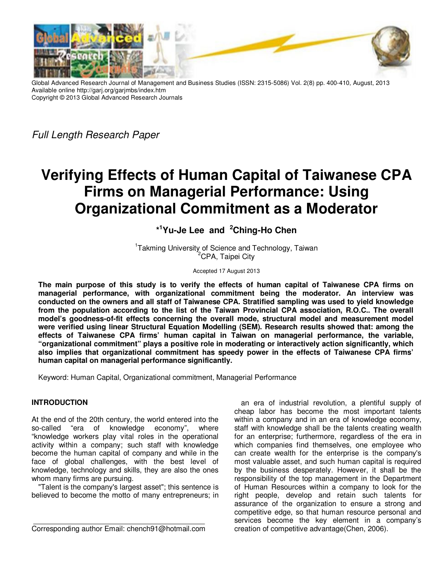

Global Advanced Research Journal of Management and Business Studies (ISSN: 2315-5086) Vol. 2(8) pp. 400-410, August, 2013 Available online http://garj.org/garjmbs/index.htm Copyright © 2013 Global Advanced Research Journals

Full Length Research Paper

# **Verifying Effects of Human Capital of Taiwanese CPA Firms on Managerial Performance: Using Organizational Commitment as a Moderator**

**\* <sup>1</sup>Yu-Je Lee and <sup>2</sup>Ching-Ho Chen** 

<sup>1</sup>Takming University of Science and Technology, Taiwan <sup>2</sup>CPA, Taipei City

Accepted 17 August 2013

**The main purpose of this study is to verify the effects of human capital of Taiwanese CPA firms on managerial performance, with organizational commitment being the moderator. An interview was conducted on the owners and all staff of Taiwanese CPA. Stratified sampling was used to yield knowledge from the population according to the list of the Taiwan Provincial CPA association, R.O.C.. The overall model's goodness-of-fit effects concerning the overall mode, structural model and measurement model were verified using linear Structural Equation Modelling (SEM). Research results showed that: among the effects of Taiwanese CPA firms' human capital in Taiwan on managerial performance, the variable, "organizational commitment" plays a positive role in moderating or interactively action significantly, which also implies that organizational commitment has speedy power in the effects of Taiwanese CPA firms' human capital on managerial performance significantly.** 

Keyword: Human Capital, Organizational commitment, Managerial Performance

# **INTRODUCTION**

At the end of the 20th century, the world entered into the so-called "era of knowledge economy", where "knowledge workers play vital roles in the operational activity within a company; such staff with knowledge become the human capital of company and while in the face of global challenges, with the best level of knowledge, technology and skills, they are also the ones whom many firms are pursuing.

"Talent is the company's largest asset"; this sentence is believed to become the motto of many entrepreneurs; in

Corresponding author Email: chench91@hotmail.com

an era of industrial revolution, a plentiful supply of cheap labor has become the most important talents within a company and in an era of knowledge economy, staff with knowledge shall be the talents creating wealth for an enterprise; furthermore, regardless of the era in which companies find themselves, one employee who can create wealth for the enterprise is the company's most valuable asset, and such human capital is required by the business desperately. However, it shall be the responsibility of the top management in the Department of Human Resources within a company to look for the right people, develop and retain such talents for assurance of the organization to ensure a strong and competitive edge, so that human resource personal and services become the key element in a company's creation of competitive advantage(Chen, 2006).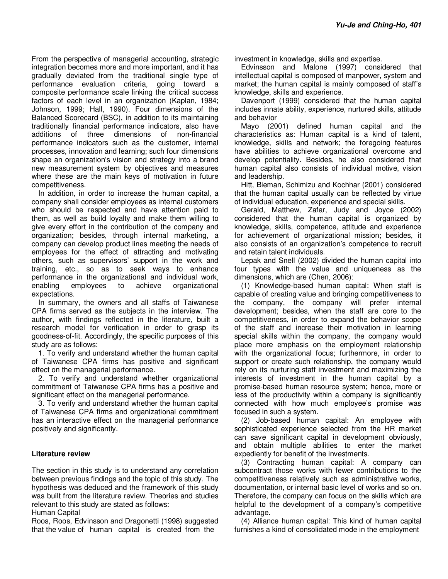From the perspective of managerial accounting, strategic integration becomes more and more important, and it has gradually deviated from the traditional single type of performance evaluation criteria, going toward a composite performance scale linking the critical success factors of each level in an organization (Kaplan, 1984; Johnson, 1999; Hall, 1990). Four dimensions of the Balanced Scorecard (BSC), in addition to its maintaining traditionally financial performance indicators, also have additions of three dimensions of non-financial performance indicators such as the customer, internal processes, innovation and learning; such four dimensions shape an organization's vision and strategy into a brand new measurement system by objectives and measures where these are the main keys of motivation in future competitiveness.

In addition, in order to increase the human capital, a company shall consider employees as internal customers who should be respected and have attention paid to them, as well as build loyalty and make them willing to give every effort in the contribution of the company and organization; besides, through internal marketing, a company can develop product lines meeting the needs of employees for the effect of attracting and motivating others, such as supervisors' support in the work and training, etc., so as to seek ways to enhance performance in the organizational and individual work, enabling employees to achieve organizational expectations.

In summary, the owners and all staffs of Taiwanese CPA firms served as the subjects in the interview. The author, with findings reflected in the literature, built a research model for verification in order to grasp its goodness-of-fit. Accordingly, the specific purposes of this study are as follows:

1. To verify and understand whether the human capital of Taiwanese CPA firms has positive and significant effect on the managerial performance.

2. To verify and understand whether organizational commitment of Taiwanese CPA firms has a positive and significant effect on the managerial performance.

3. To verify and understand whether the human capital of Taiwanese CPA firms and organizational commitment has an interactive effect on the managerial performance positively and significantly.

## **Literature review**

The section in this study is to understand any correlation between previous findings and the topic of this study. The hypothesis was deduced and the framework of this study was built from the literature review. Theories and studies relevant to this study are stated as follows:

Human Capital

Roos, Roos, Edvinsson and Dragonetti (1998) suggested that the value of human capital is created from the

investment in knowledge, skills and expertise.

Edvinsson and Malone (1997) considered that intellectual capital is composed of manpower, system and market; the human capital is mainly composed of staff's knowledge, skills and experience.

Davenport (1999) considered that the human capital includes innate ability, experience, nurtured skills, attitude and behavior

Mayo (2001) defined human capital and the characteristics as: Human capital is a kind of talent, knowledge, skills and network; the foregoing features have abilities to achieve organizational overcome and develop potentiality. Besides, he also considered that human capital also consists of individual motive, vision and leadership.

Hitt, Bieman, Schimizu and Kochhar (2001) considered that the human capital usually can be reflected by virtue of individual education, experience and special skills.

Gerald, Matthew, Zafar, Judy and Joyce (2002) considered that the human capital is organized by knowledge, skills, competence, attitude and experience for achievement of organizational mission; besides, it also consists of an organization's competence to recruit and retain talent individuals.

Lepak and Snell (2002) divided the human capital into four types with the value and uniqueness as the dimensions, which are (Chen, 2006):

(1) Knowledge-based human capital: When staff is capable of creating value and bringing competitiveness to the company, the company will prefer internal development; besides, when the staff are core to the competitiveness, in order to expand the behavior scope of the staff and increase their motivation in learning special skills within the company, the company would place more emphasis on the employment relationship with the organizational focus; furthermore, in order to support or create such relationship, the company would rely on its nurturing staff investment and maximizing the interests of investment in the human capital by a promise-based human resource system; hence, more or less of the productivity within a company is significantly connected with how much employee's promise was focused in such a system.

(2) Job-based human capital: An employee with sophisticated experience selected from the HR market can save significant capital in development obviously, and obtain multiple abilities to enter the market expediently for benefit of the investments.

(3) Contracting human capital: A company can subcontract those works with fewer contributions to the competitiveness relatively such as administrative works, documentation, or internal basic level of works and so on. Therefore, the company can focus on the skills which are helpful to the development of a company's competitive advantage.

(4) Alliance human capital: This kind of human capital furnishes a kind of consolidated mode in the employment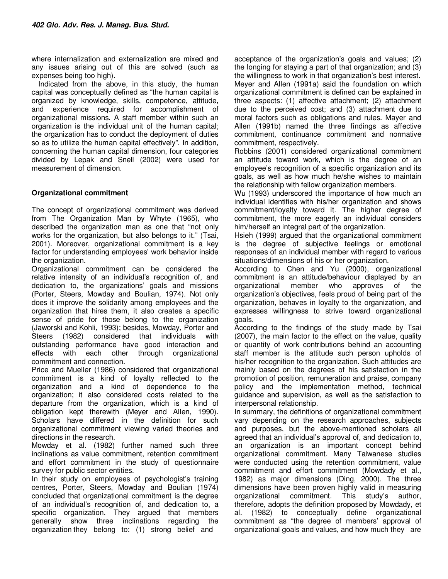where internalization and externalization are mixed and any issues arising out of this are solved (such as expenses being too high).

Indicated from the above, in this study, the human capital was conceptually defined as "the human capital is organized by knowledge, skills, competence, attitude, and experience required for accomplishment of organizational missions. A staff member within such an organization is the individual unit of the human capital; the organization has to conduct the deployment of duties so as to utilize the human capital effectively". In addition, concerning the human capital dimension, four categories divided by Lepak and Snell (2002) were used for measurement of dimension.

# **Organizational commitment**

The concept of organizational commitment was derived from The Organization Man by Whyte (1965), who described the organization man as one that "not only works for the organization, but also belongs to it." (Tsai, 2001). Moreover, organizational commitment is a key factor for understanding employees' work behavior inside the organization.

Organizational commitment can be considered the relative intensity of an individual's recognition of, and dedication to, the organizations' goals and missions (Porter, Steers, Mowday and Boulian, 1974). Not only does it improve the solidarity among employees and the organization that hires them, it also creates a specific sense of pride for those belong to the organization (Jaworski and Kohli, 1993); besides, Mowday, Porter and Steers (1982) considered that individuals with outstanding performance have good interaction and effects with each other through organizational commitment and connection.

Price and Mueller (1986) considered that organizational commitment is a kind of loyalty reflected to the organization and a kind of dependence to the organization; it also considered costs related to the departure from the organization, which is a kind of obligation kept therewith (Meyer and Allen, 1990). Scholars have differed in the definition for such organizational commitment viewing varied theories and directions in the research.

Mowday et al. (1982) further named such three inclinations as value commitment, retention commitment and effort commitment in the study of questionnaire survey for public sector entities.

In their study on employees of psychologist's training centres, Porter, Steers, Mowday and Boulian (1974) concluded that organizational commitment is the degree of an individual's recognition of, and dedication to, a specific organization. They argued that members generally show three inclinations regarding the organization they belong to: (1) strong belief and

acceptance of the organization's goals and values; (2) the longing for staying a part of that organization; and (3) the willingness to work in that organization's best interest. Meyer and Allen (1991a) said the foundation on which organizational commitment is defined can be explained in three aspects: (1) affective attachment; (2) attachment due to the perceived cost; and (3) attachment due to moral factors such as obligations and rules. Mayer and Allen (1991b) named the three findings as affective commitment, continuance commitment and normative commitment, respectively.

Robbins (2001) considered organizational commitment an attitude toward work, which is the degree of an employee's recognition of a specific organization and its goals, as well as how much he/she wishes to maintain the relationship with fellow organization members.

Wu (1993) underscored the importance of how much an individual identifies with his/her organization and shows commitment/loyalty toward it. The higher degree of commitment, the more eagerly an individual considers him/herself an integral part of the organization.

Hsieh (1999) argued that the organizational commitment is the degree of subjective feelings or emotional responses of an individual member with regard to various situations/dimensions of his or her organization.

According to Chen and Yu (2000), organizational commitment is an attitude/behaviour displayed by an organizational member who approves of the organization's objectives, feels proud of being part of the organization, behaves in loyalty to the organization, and expresses willingness to strive toward organizational goals.

According to the findings of the study made by Tsai (2007), the main factor to the effect on the value, quality or quantity of work contributions behind an accounting staff member is the attitude such person upholds of his/her recognition to the organization. Such attitudes are mainly based on the degrees of his satisfaction in the promotion of position, remuneration and praise, company policy and the implementation method, technical guidance and supervision, as well as the satisfaction to interpersonal relationship.

In summary, the definitions of organizational commitment vary depending on the research approaches, subjects and purposes, but the above-mentioned scholars all agreed that an individual's approval of, and dedication to, an organization is an important concept behind organizational commitment. Many Taiwanese studies were conducted using the retention commitment, value commitment and effort commitment (Mowdady et al., 1982) as major dimensions (Ding, 2000). The three dimensions have been proven highly valid in measuring organizational commitment. This study's author, therefore, adopts the definition proposed by Mowdady, et al. (1982) to conceptually define organizational commitment as "the degree of members' approval of organizational goals and values, and how much they are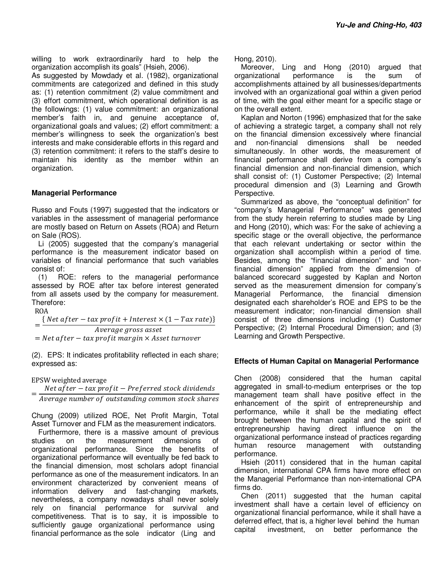willing to work extraordinarily hard to help the organization accomplish its goals" (Hsieh, 2006).

As suggested by Mowdady et al. (1982), organizational commitments are categorized and defined in this study as: (1) retention commitment (2) value commitment and (3) effort commitment, which operational definition is as the followings: (1) value commitment: an organizational member's faith in, and genuine acceptance of, organizational goals and values; (2) effort commitment: a member's willingness to seek the organization's best interests and make considerable efforts in this regard and (3) retention commitment: it refers to the staff's desire to maintain his identity as the member within an organization.

## **Managerial Performance**

Russo and Fouts (1997) suggested that the indicators or variables in the assessment of managerial performance are mostly based on Return on Assets (ROA) and Return on Sale (ROS).

Li (2005) suggested that the company's managerial performance is the measurement indicator based on variables of financial performance that such variables consist of:

(1) ROE: refers to the managerial performance assessed by ROE after tax before interest generated from all assets used by the company for measurement. Therefore:

ROA

=  $\{ \, Net\ after - tax\ profit + Interest \times (1 - Tax\ rate) \}$ Average gross asset  $=$  Net af ter  $-$  tax prof it margin  $\times$  Asset turnover

(2). EPS: It indicates profitability reflected in each share; expressed as:

EPSW weighted average

=  $Net$  after  $-$  tax profit  $-$  Preferred stock dividends Average number of outstanding common stock shares

Chung (2009) utilized ROE, Net Profit Margin, Total Asset Turnover and FLM as the measurement indicators.

Furthermore, there is a massive amount of previous studies on the measurement dimensions of organizational performance. Since the benefits of organizational performance will eventually be fed back to the financial dimension, most scholars adopt financial performance as one of the measurement indicators. In an environment characterized by convenient means of information delivery and fast-changing markets, nevertheless, a company nowadays shall never solely rely on financial performance for survival and competitiveness. That is to say, it is impossible to sufficiently gauge organizational performance using financial performance as the sole indicator (Ling and

Hong, 2010).

Moreover, Ling and Hong (2010) argued that organizational performance is the sum of accomplishments attained by all businesses/departments involved with an organizational goal within a given period of time, with the goal either meant for a specific stage or on the overall extent.

Kaplan and Norton (1996) emphasized that for the sake of achieving a strategic target, a company shall not rely on the financial dimension excessively where financial and non-financial dimensions shall be needed simultaneously. In other words, the measurement of financial performance shall derive from a company's financial dimension and non-financial dimension, which shall consist of: (1) Customer Perspective; (2) Internal procedural dimension and (3) Learning and Growth Perspective.

Summarized as above, the "conceptual definition" for "company's Managerial Performance" was generated from the study herein referring to studies made by Ling and Hong (2010), which was: For the sake of achieving a specific stage or the overall objective, the performance that each relevant undertaking or sector within the organization shall accomplish within a period of time. Besides, among the "financial dimension" and "nonfinancial dimension" applied from the dimension of balanced scorecard suggested by Kaplan and Norton served as the measurement dimension for company's Managerial Performance, the financial dimension designated each shareholder's ROE and EPS to be the measurement indicator; non-financial dimension shall consist of three dimensions including (1) Customer Perspective; (2) Internal Procedural Dimension; and (3) Learning and Growth Perspective.

## **Effects of Human Capital on Managerial Performance**

Chen (2008) considered that the human capital aggregated in small-to-medium enterprises or the top management team shall have positive effect in the enhancement of the spirit of entrepreneurship and performance, while it shall be the mediating effect brought between the human capital and the spirit of entrepreneurship having direct influence on the organizational performance instead of practices regarding human resource management with outstanding performance.

Hsieh (2011) considered that in the human capital dimension, international CPA firms have more effect on the Managerial Performance than non-international CPA firms do.

Chen (2011) suggested that the human capital investment shall have a certain level of efficiency on organizational financial performance, while it shall have a deferred effect, that is, a higher level behind the human capital investment, on better performance the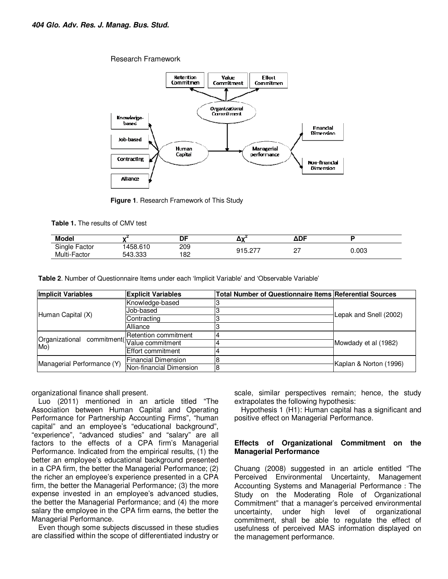Research Framework



**Figure 1**. Research Framework of This Study

**Table 1.** The results of CMV test

| <b>Model</b>            |                   | DF         | ^``           | $\Delta DF$ |       |
|-------------------------|-------------------|------------|---------------|-------------|-------|
| Single<br>Factor        | 458.610           | 209        | $\sim$<br>◠◂⊏ | ∼∼          | 0.003 |
| Multi-<br><b>Factor</b> | റററ<br>543<br>.uu | 100<br>ے ∟ |               | <u>_</u>    |       |

**Table 2**. Number of Questionnaire Items under each 'Implicit Variable' and 'Observable Variable'

| <b>Implicit Variables</b>                      | <b>Explicit Variables</b> | <b>Total Number of Questionnaire Items Referential Sources</b> |                        |  |
|------------------------------------------------|---------------------------|----------------------------------------------------------------|------------------------|--|
|                                                | Knowledge-based           |                                                                | Lepak and Snell (2002) |  |
|                                                | Job-based                 |                                                                |                        |  |
| Human Capital (X)                              | Contracting               |                                                                |                        |  |
|                                                | Alliance                  |                                                                |                        |  |
| Organizational commitment(Retention commitment |                           |                                                                |                        |  |
| Mo)                                            |                           |                                                                | Mowdady et al (1982)   |  |
|                                                | Effort commitment         |                                                                |                        |  |
| Managerial Performance (Y)                     | Financial Dimension       |                                                                | Kaplan & Norton (1996) |  |
|                                                | Non-financial Dimension   |                                                                |                        |  |

organizational finance shall present.

Luo (2011) mentioned in an article titled "The Association between Human Capital and Operating Performance for Partnership Accounting Firms", "human capital" and an employee's "educational background", "experience", "advanced studies" and "salary" are all factors to the effects of a CPA firm's Managerial Performance. Indicated from the empirical results, (1) the better an employee's educational background presented in a CPA firm, the better the Managerial Performance; (2) the richer an employee's experience presented in a CPA firm, the better the Managerial Performance; (3) the more expense invested in an employee's advanced studies, the better the Managerial Performance; and (4) the more salary the employee in the CPA firm earns, the better the Managerial Performance.

Even though some subjects discussed in these studies are classified within the scope of differentiated industry or scale, similar perspectives remain; hence, the study extrapolates the following hypothesis:

Hypothesis 1 (H1): Human capital has a significant and positive effect on Managerial Performance.

#### **Effects of Organizational Commitment on the Managerial Performance**

Chuang (2008) suggested in an article entitled "The Perceived Environmental Uncertainty, Management Accounting Systems and Managerial Performance: The Study on the Moderating Role of Organizational Commitment" that a manager's perceived environmental uncertainty, under high level of organizational commitment, shall be able to regulate the effect of usefulness of perceived MAS information displayed on the management performance.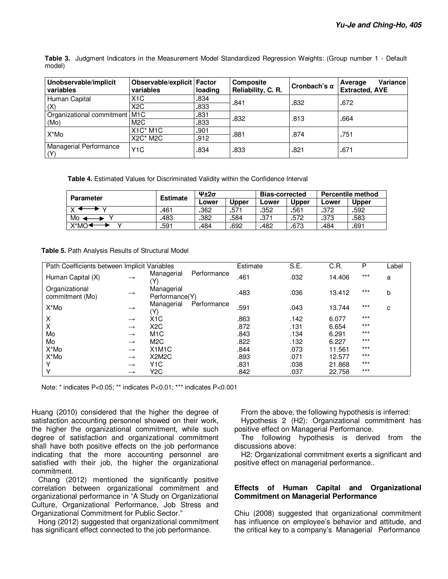**Table 3.** Judgment Indicators in the Measurement Model Standardized Regression Weights: (Group number 1 - Default model)

| Unobservable/implicit<br>variables      | Observable/explicit Factor<br>variables                                                          | loading      | Composite<br>Reliability, C. R. | Cronbach's $\alpha$ | Variance<br>Average<br><b>Extracted, AVE</b> |
|-----------------------------------------|--------------------------------------------------------------------------------------------------|--------------|---------------------------------|---------------------|----------------------------------------------|
| Human Capital<br>(X)                    | X <sub>1</sub> C<br>X <sub>2</sub> C                                                             | .834<br>.833 | .841                            | .832                | .672                                         |
| Organizational commitment   M1C<br>(Mo) | M <sub>2</sub> C                                                                                 | .831<br>.833 | .832                            | .813                | .664                                         |
| X*Mo                                    | X <sub>1</sub> C <sup>*</sup> M <sub>1</sub> C<br>X <sub>2</sub> C <sup>*</sup> M <sub>2</sub> C | .901<br>.912 | .881                            | .874                | .751                                         |
| Managerial Performance<br>(Y)           | Y <sub>1</sub> C                                                                                 | .834         | .833                            | .821                | .671                                         |

**Table 4.** Estimated Values for Discriminated Validity within the Confidence Interval

| <b>Parameter</b> | <b>Estimate</b> | $4+2\sigma$ |       | <b>Bias-corrected</b> |              | <b>Percentile method</b> |              |
|------------------|-----------------|-------------|-------|-----------------------|--------------|--------------------------|--------------|
|                  |                 | Lower       | Upper | Lower                 | <b>Upper</b> | Lower                    | <b>Upper</b> |
|                  | 461             | .362        | .571  | .352                  | .561         | .372                     | .592         |
| Mo               | 483             | .382        | .584  | .37 <sup>1</sup>      | .572         | .373                     | .583         |
| X*MO <b>≦</b>    | .591            | .484        | .692  | .482                  | .673         | .484                     | .691         |

**Table 5.** Path Analysis Results of Structural Model

| Path Coefficients between Implicit Variables |               |                                 |             | Estimate | S.E. | C.R.   | P     | Label |
|----------------------------------------------|---------------|---------------------------------|-------------|----------|------|--------|-------|-------|
| Human Capital (X)                            | $\rightarrow$ | Managerial<br>(Y)               | Performance | .461     | .032 | 14.406 | $***$ | a     |
| Organizational<br>commitment (Mo)            | $\rightarrow$ | Managerial<br>Performance(Y)    |             | .483     | .036 | 13.412 | $***$ | b     |
| X*Mo                                         | $\rightarrow$ | Managerial<br>(Y)               | Performance | .591     | .043 | 13.744 | $***$ | с     |
| Χ                                            | $\rightarrow$ | X <sub>1</sub> C                |             | .863     | .142 | 6.077  | $***$ |       |
| X                                            | $\rightarrow$ | X <sub>2</sub> C                |             | .872     | .131 | 6.654  | $***$ |       |
| Mo                                           | $\rightarrow$ | M <sub>1</sub> C                |             | .843     | .134 | 6.291  | $***$ |       |
| Mo                                           | $\rightarrow$ | M <sub>2</sub> C                |             | .822     | .132 | 6.227  | $***$ |       |
| X*Mo                                         | $\rightarrow$ | X <sub>1</sub> M <sub>1</sub> C |             | .844     | .073 | 11.561 | $***$ |       |
| X*Mo                                         | $\rightarrow$ | X <sub>2</sub> M <sub>2</sub> C |             | .893     | .071 | 12.577 | $***$ |       |
| Υ                                            | $\rightarrow$ | Y <sub>1</sub> C                |             | .831     | .038 | 21.868 | $***$ |       |
| Υ                                            | $\rightarrow$ | Y <sub>2</sub> C                |             | .842     | .037 | 22.758 | $***$ |       |

Note: \* indicates P<0.05; \*\* indicates P<0.01; \*\*\* indicates P<0.001

Huang (2010) considered that the higher the degree of satisfaction accounting personnel showed on their work, the higher the organizational commitment, while such degree of satisfaction and organizational commitment shall have both positive effects on the job performance indicating that the more accounting personnel are satisfied with their job, the higher the organizational commitment.

Chang (2012) mentioned the significantly positive correlation between organizational commitment and organizational performance in "A Study on Organizational Culture, Organizational Performance, Job Stress and Organizational Commitment for Public Sector."

Hong (2012) suggested that organizational commitment has significant effect connected to the job performance.

From the above, the following hypothesis is inferred:

Hypothesis 2 (H2): Organizational commitment has positive effect on Managerial Performance.

The following hypothesis is derived from the discussions above:

H2: Organizational commitment exerts a significant and positive effect on managerial performance..

#### **Effects of Human Capital and Organizational Commitment on Managerial Performance**

Chiu (2008) suggested that organizational commitment has influence on employee's behavior and attitude, and the critical key to a company's Managerial Performance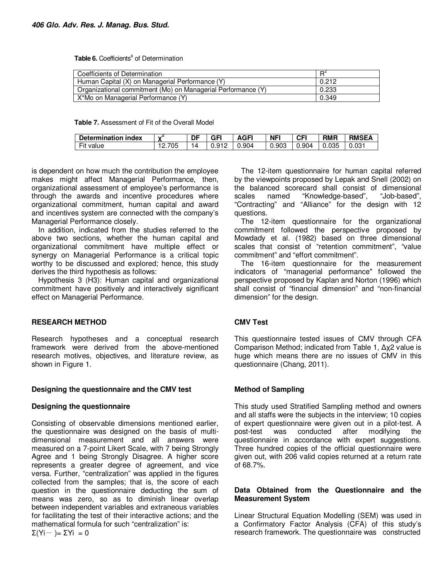Table 6. Coefficients<sup>a</sup> of Determination

| Coefficients of Determination                                | $R^4$ |
|--------------------------------------------------------------|-------|
| Human Capital (X) on Managerial Performance (Y)              | 0.212 |
| Organizational commitment (Mo) on Managerial Performance (Y) | 0.233 |
| X*Mo on Managerial Performance (Y)                           | 0.349 |

**Table 7.** Assessment of Fit of the Overall Model

| Determination index             | $\mathbf{v}$ | DF | GFI               | ۱GFI<br>n | <b>NFI</b> | CFI      | <b>RMR</b> | <b>RMSEA</b> |
|---------------------------------|--------------|----|-------------------|-----------|------------|----------|------------|--------------|
| $- \cdot$ .<br><b>Fit value</b> | 705<br>.     |    | Q1Q<br>ບ.ບ<br>. . | 0.904     | 0.903      | ـ 904. ل | 0.035      | 0.031        |

is dependent on how much the contribution the employee makes might affect Managerial Performance, then, organizational assessment of employee's performance is through the awards and incentive procedures where organizational commitment, human capital and award and incentives system are connected with the company's Managerial Performance closely.

In addition, indicated from the studies referred to the above two sections, whether the human capital and organizational commitment have multiple effect or synergy on Managerial Performance is a critical topic worthy to be discussed and explored; hence, this study derives the third hypothesis as follows:

Hypothesis 3 (H3): Human capital and organizational commitment have positively and interactively significant effect on Managerial Performance.

## **RESEARCH METHOD**

Research hypotheses and a conceptual research framework were derived from the above-mentioned research motives, objectives, and literature review, as shown in Figure 1.

## **Designing the questionnaire and the CMV test**

## **Designing the questionnaire**

Consisting of observable dimensions mentioned earlier, the questionnaire was designed on the basis of multidimensional measurement and all answers were measured on a 7-point Likert Scale, with 7 being Strongly Agree and 1 being Strongly Disagree. A higher score represents a greater degree of agreement, and vice versa. Further, "centralization" was applied in the figures collected from the samples; that is, the score of each question in the questionnaire deducting the sum of means was zero, so as to diminish linear overlap between independent variables and extraneous variables for facilitating the test of their interactive actions; and the mathematical formula for such "centralization" is:  $\Sigma(Yi-) = \Sigma Yi = 0$ 

The 12-item questionnaire for human capital referred by the viewpoints proposed by Lepak and Snell (2002) on the balanced scorecard shall consist of dimensional scales named "Knowledge-based", "Job-based", "Contracting" and "Alliance" for the design with 12 questions.

The 12-item questionnaire for the organizational commitment followed the perspective proposed by Mowdady et al. (1982) based on three dimensional scales that consist of "retention commitment", "value commitment" and "effort commitment".

The 16-item questionnaire for the measurement indicators of "managerial performance" followed the perspective proposed by Kaplan and Norton (1996) which shall consist of "financial dimension" and "non-financial dimension" for the design.

# **CMV Test**

This questionnaire tested issues of CMV through CFA Comparison Method; indicated from Table 1, ∆χ2 value is huge which means there are no issues of CMV in this questionnaire (Chang, 2011).

## **Method of Sampling**

This study used Stratified Sampling method and owners and all staffs were the subjects in the interview; 10 copies of expert questionnaire were given out in a pilot-test. A post-test was conducted after modifying the questionnaire in accordance with expert suggestions. Three hundred copies of the official questionnaire were given out, with 206 valid copies returned at a return rate of 68.7%.

## **Data Obtained from the Questionnaire and the Measurement System**

Linear Structural Equation Modelling (SEM) was used in a Confirmatory Factor Analysis (CFA) of this study's research framework. The questionnaire was constructed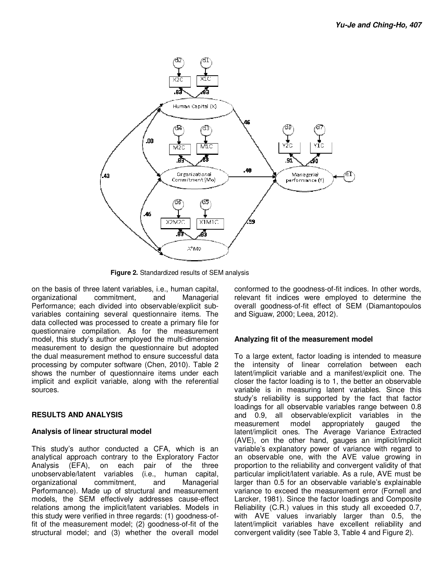

**Figure 2.** Standardized results of SEM analysis

on the basis of three latent variables, i.e., human capital, organizational commitment, and Managerial Performance; each divided into observable/explicit subvariables containing several questionnaire items. The data collected was processed to create a primary file for questionnaire compilation. As for the measurement model, this study's author employed the multi-dimension measurement to design the questionnaire but adopted the dual measurement method to ensure successful data processing by computer software (Chen, 2010). Table 2 shows the number of questionnaire items under each implicit and explicit variable, along with the referential sources.

# **RESULTS AND ANALYSIS**

## **Analysis of linear structural model**

This study's author conducted a CFA, which is an analytical approach contrary to the Exploratory Factor Analysis (EFA), on each pair of the three unobservable/latent variables (i.e., human capital, organizational commitment, and Managerial Performance). Made up of structural and measurement models, the SEM effectively addresses cause-effect relations among the implicit/latent variables. Models in this study were verified in three regards: (1) goodness-offit of the measurement model; (2) goodness-of-fit of the structural model; and (3) whether the overall model

conformed to the goodness-of-fit indices. In other words, relevant fit indices were employed to determine the overall goodness-of-fit effect of SEM (Diamantopoulos and Siguaw, 2000; Leea, 2012).

# **Analyzing fit of the measurement model**

To a large extent, factor loading is intended to measure the intensity of linear correlation between each latent/implicit variable and a manifest/explicit one. The closer the factor loading is to 1, the better an observable variable is in measuring latent variables. Since this study's reliability is supported by the fact that factor loadings for all observable variables range between 0.8 and 0.9, all observable/explicit variables in the measurement model appropriately gauged the latent/implicit ones. The Average Variance Extracted (AVE), on the other hand, gauges an implicit/implicit variable's explanatory power of variance with regard to an observable one, with the AVE value growing in proportion to the reliability and convergent validity of that particular implicit/latent variable. As a rule, AVE must be larger than 0.5 for an observable variable's explainable variance to exceed the measurement error (Fornell and Larcker, 1981). Since the factor loadings and Composite Reliability (C.R.) values in this study all exceeded 0.7, with AVE values invariably larger than 0.5, the latent/implicit variables have excellent reliability and convergent validity (see Table 3, Table 4 and Figure 2).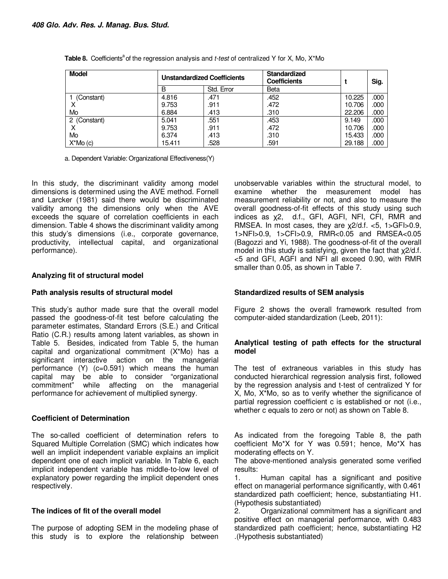| <b>Model</b>   | <b>Unstandardized Coefficients</b><br>Std. Error<br>B |      | <b>Standardized</b><br><b>Coefficients</b> |        | Sig. |
|----------------|-------------------------------------------------------|------|--------------------------------------------|--------|------|
|                |                                                       |      | Beta                                       |        |      |
| (Constant)     | 4.816                                                 | .471 | .452                                       | 10.225 | .000 |
|                | 9.753                                                 | .911 | .472                                       | 10.706 | .000 |
| Mo             | 6.884                                                 | .413 | .310                                       | 22,206 | .000 |
| 2 (Constant)   | 5.041                                                 | .551 | .453                                       | 9.149  | .000 |
| х              | 9.753                                                 | .911 | .472                                       | 10.706 | .000 |
| Mo             | 6.374                                                 | .413 | .310                                       | 15.433 | .000 |
| $X^*$ Mo $(c)$ | 15.411                                                | .528 | .591                                       | 29.188 | .000 |

**Table 8.** Coefficients<sup>a</sup> of the regression analysis and *t-test* of centralized Y for X, Mo, X\*Mo

a. Dependent Variable: Organizational Effectiveness(Y)

In this study, the discriminant validity among model dimensions is determined using the AVE method. Fornell and Larcker (1981) said there would be discriminated validity among the dimensions only when the AVE exceeds the square of correlation coefficients in each dimension. Table 4 shows the discriminant validity among this study's dimensions (i.e., corporate governance, productivity, intellectual capital, and organizational performance).

## **Analyzing fit of structural model**

## **Path analysis results of structural model**

This study's author made sure that the overall model passed the goodness-of-fit test before calculating the parameter estimates, Standard Errors (S.E.) and Critical Ratio (C.R.) results among latent variables, as shown in Table 5. Besides, indicated from Table 5, the human capital and organizational commitment (X\*Mo) has a significant interactive action on the managerial performance  $(Y)$  (c=0.591) which means the human capital may be able to consider "organizational commitment" while affecting on the managerial performance for achievement of multiplied synergy.

## **Coefficient of Determination**

The so-called coefficient of determination refers to Squared Multiple Correlation (SMC) which indicates how well an implicit independent variable explains an implicit dependent one of each implicit variable. In Table 6, each implicit independent variable has middle-to-low level of explanatory power regarding the implicit dependent ones respectively.

# **The indices of fit of the overall model**

The purpose of adopting SEM in the modeling phase of this study is to explore the relationship between unobservable variables within the structural model, to examine whether the measurement model has measurement reliability or not, and also to measure the overall goodness-of-fit effects of this study using such indices as χ2, d.f., GFI, AGFI, NFI, CFI, RMR and RMSEA. In most cases, they are χ2/d.f. <5, 1>GFI>0.9, 1>NFI>0.9, 1>CFI>0.9, RMR<0.05 and RMSEA<0.05 (Bagozzi and Yi, 1988). The goodness-of-fit of the overall model in this study is satisfying, given the fact that χ2/d.f. <5 and GFI, AGFI and NFI all exceed 0.90, with RMR smaller than 0.05, as shown in Table 7.

# **Standardized results of SEM analysis**

Figure 2 shows the overall framework resulted from computer-aided standardization (Leeb, 2011):

## **Analytical testing of path effects for the structural model**

The test of extraneous variables in this study has conducted hierarchical regression analysis first, followed by the regression analysis and t-test of centralized Y for X, Mo, X\*Mo, so as to verify whether the significance of partial regression coefficient c is established or not (i.e., whether c equals to zero or not) as shown on Table 8.

As indicated from the foregoing Table 8, the path coefficient Mo\*X for Y was 0.591; hence, Mo\*X has moderating effects on Y.

The above-mentioned analysis generated some verified results:

1. Human capital has a significant and positive effect on managerial performance significantly, with 0.461 standardized path coefficient; hence, substantiating H1. (Hypothesis substantiated)

2. Organizational commitment has a significant and positive effect on managerial performance, with 0.483 standardized path coefficient; hence, substantiating H2 .(Hypothesis substantiated)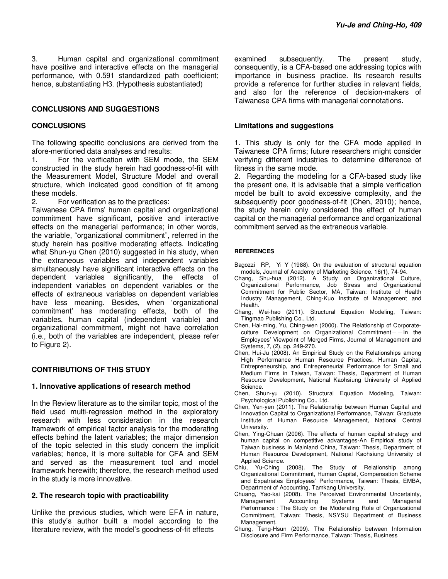3. Human capital and organizational commitment have positive and interactive effects on the managerial performance, with 0.591 standardized path coefficient; hence, substantiating H3. (Hypothesis substantiated)

#### **CONCLUSIONS AND SUGGESTIONS**

#### **CONCLUSIONS**

The following specific conclusions are derived from the afore-mentioned data analyses and results:

1. For the verification with SEM mode, the SEM constructed in the study herein had goodness-of-fit with the Measurement Model, Structure Model and overall structure, which indicated good condition of fit among these models.<br>2. For ve

For verification as to the practices:

Taiwanese CPA firms' human capital and organizational commitment have significant, positive and interactive effects on the managerial performance; in other words, the variable, "organizational commitment", referred in the study herein has positive moderating effects. Indicating what Shun-yu Chen (2010) suggested in his study, when the extraneous variables and independent variables simultaneously have significant interactive effects on the dependent variables significantly, the effects of independent variables on dependent variables or the effects of extraneous variables on dependent variables have less meaning. Besides, when 'organizational commitment' has moderating effects, both of the variables, human capital (independent variable) and organizational commitment, might not have correlation (i.e., both of the variables are independent, please refer to Figure 2).

## **CONTRIBUTIONS OF THIS STUDY**

#### **1. Innovative applications of research method**

In the Review literature as to the similar topic, most of the field used multi-regression method in the exploratory research with less consideration in the research framework of empirical factor analysis for the moderating effects behind the latent variables; the major dimension of the topic selected in this study concern the implicit variables; hence, it is more suitable for CFA and SEM and served as the measurement tool and model framework herewith; therefore, the research method used in the study is more innovative.

#### **2. The research topic with practicability**

Unlike the previous studies, which were EFA in nature, this study's author built a model according to the literature review, with the model's goodness-of-fit effects

examined subsequently. The present study, consequently, is a CFA-based one addressing topics with importance in business practice. Its research results provide a reference for further studies in relevant fields, and also for the reference of decision-makers of Taiwanese CPA firms with managerial connotations.

#### **Limitations and suggestions**

1. This study is only for the CFA mode applied in Taiwanese CPA firms; future researchers might consider verifying different industries to determine difference of fitness in the same mode.

2. Regarding the modeling for a CFA-based study like the present one, it is advisable that a simple verification model be built to avoid excessive complexity, and the subsequently poor goodness-of-fit (Chen, 2010); hence, the study herein only considered the effect of human capital on the managerial performance and organizational commitment served as the extraneous variable.

#### **REFERENCES**

Bagozzi RP, Yi Y (1988). On the evaluation of structural equation models, Journal of Academy of Marketing Science. 16(1), 74-94.

- Chang, Shu-hua (2012). A Study on Organizational Culture, Organizational Performance, Job Stress and Organizational Commitment for Public Sector, MA, Taiwan: Institute of Health Industry Management, Ching-Kuo Institute of Management and **Health**
- Chang, Wei-hao (2011). Structural Equation Modeling, Taiwan: Tingmao Publishing Co., Ltd.
- Chen, Hai-ming, Yu, Ching-wen (2000). The Relationship of Corporateculture Development on Organizational Commitment $-$ In the Employees' Viewpoint of Merged Firms, Journal of Management and Systems, 7, (2), pp. 249-270.
- Chen, Hui-Ju (2008). An Empirical Study on the Relationships among High Performance Human Resource Practices, Human Capital, Entrepreneurship, and Entrepreneurial Performance for Small and Medium Firms in Taiwan, Taiwan: Thesis, Department of Human Resource Development, National Kaohsiung University of Applied Science.
- Chen, Shun-yu (2010). Structural Equation Modeling, Taiwan: Psychological Publishing Co., Ltd.
- Chen, Yen-yen (2011). The Relationship between Human Capital and Innovation Capital to Organizational Performance, Taiwan: Graduate Institute of Human Resource Management, National Central University.
- Chen, Ying-Chuan (2006). The effects of human capital strategy and human capital on competitive advantages-An Empirical study of Taiwan business in Mainland China, Taiwan: Thesis, Department of Human Resource Development, National Kaohsiung University of Applied Science.
- Chiu, Yu-Ching (2008). The Study of Relationship among Organizational Commitment, Human Capital, Compensation Scheme and Expatriates Employees' Performance, Taiwan: Thesis, EMBA, Department of Accounting, Tamkang University.
- Chuang, Yao-kai (2008). The Perceived Environmental Uncertainty, Management Accounting Systems and Managerial Performance: The Study on the Moderating Role of Organizational Commitment, Taiwan: Thesis, NSYSU Department of Business Management.
- Chung, Teng-Hsun (2009). The Relationship between Information Disclosure and Firm Performance, Taiwan: Thesis, Business